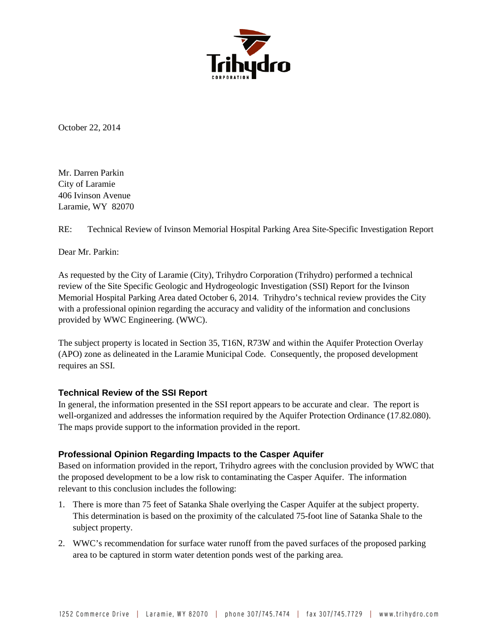

October 22, 2014

Mr. Darren Parkin City of Laramie 406 Ivinson Avenue Laramie, WY 82070

RE: Technical Review of Ivinson Memorial Hospital Parking Area Site-Specific Investigation Report

Dear Mr. Parkin:

As requested by the City of Laramie (City), Trihydro Corporation (Trihydro) performed a technical review of the Site Specific Geologic and Hydrogeologic Investigation (SSI) Report for the Ivinson Memorial Hospital Parking Area dated October 6, 2014. Trihydro's technical review provides the City with a professional opinion regarding the accuracy and validity of the information and conclusions provided by WWC Engineering. (WWC).

The subject property is located in Section 35, T16N, R73W and within the Aquifer Protection Overlay (APO) zone as delineated in the Laramie Municipal Code. Consequently, the proposed development requires an SSI.

## **Technical Review of the SSI Report**

In general, the information presented in the SSI report appears to be accurate and clear. The report is well-organized and addresses the information required by the Aquifer Protection Ordinance (17.82.080). The maps provide support to the information provided in the report.

## **Professional Opinion Regarding Impacts to the Casper Aquifer**

Based on information provided in the report, Trihydro agrees with the conclusion provided by WWC that the proposed development to be a low risk to contaminating the Casper Aquifer. The information relevant to this conclusion includes the following:

- 1. There is more than 75 feet of Satanka Shale overlying the Casper Aquifer at the subject property. This determination is based on the proximity of the calculated 75-foot line of Satanka Shale to the subject property.
- 2. WWC's recommendation for surface water runoff from the paved surfaces of the proposed parking area to be captured in storm water detention ponds west of the parking area.